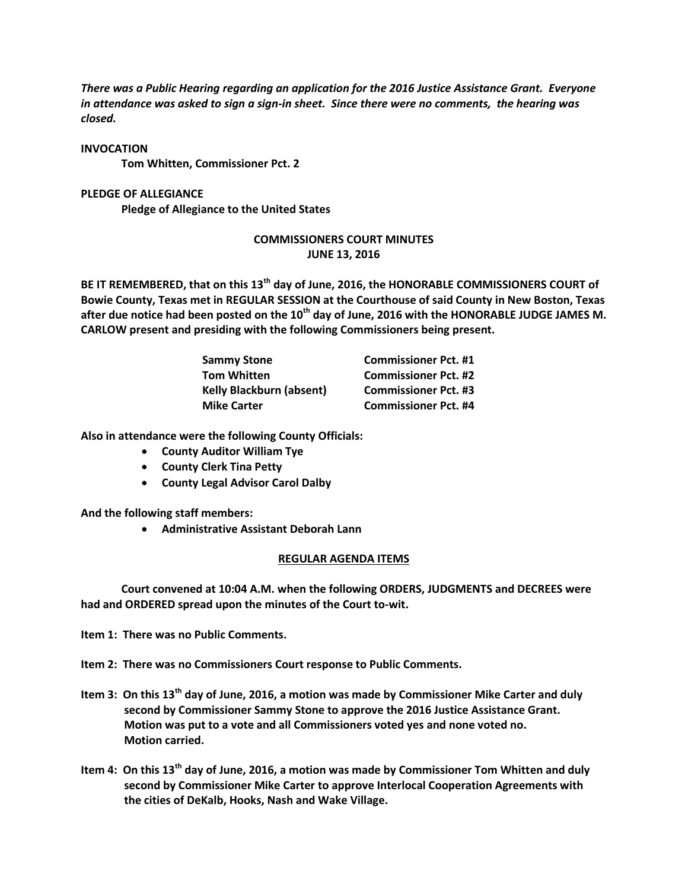*There was a Public Hearing regarding an application for the 2016 Justice Assistance Grant. Everyone in attendance was asked to sign a sign-in sheet. Since there were no comments, the hearing was closed.*

## **INVOCATION**

**Tom Whitten, Commissioner Pct. 2**

## **PLEDGE OF ALLEGIANCE**

**Pledge of Allegiance to the United States**

## **COMMISSIONERS COURT MINUTES JUNE 13, 2016**

**BE IT REMEMBERED, that on this 13th day of June, 2016, the HONORABLE COMMISSIONERS COURT of Bowie County, Texas met in REGULAR SESSION at the Courthouse of said County in New Boston, Texas after due notice had been posted on the 10th day of June, 2016 with the HONORABLE JUDGE JAMES M. CARLOW present and presiding with the following Commissioners being present.**

| <b>Sammy Stone</b>              | <b>Commissioner Pct. #1</b> |
|---------------------------------|-----------------------------|
| <b>Tom Whitten</b>              | <b>Commissioner Pct. #2</b> |
| <b>Kelly Blackburn (absent)</b> | <b>Commissioner Pct. #3</b> |
| <b>Mike Carter</b>              | <b>Commissioner Pct. #4</b> |

**Also in attendance were the following County Officials:**

- **County Auditor William Tye**
- **•** County Clerk Tina Petty
- **County Legal Advisor Carol Dalby**

**And the following staff members:**

**Administrative Assistant Deborah Lann**

## **REGULAR AGENDA ITEMS**

**Court convened at 10:04 A.M. when the following ORDERS, JUDGMENTS and DECREES were had and ORDERED spread upon the minutes of the Court to-wit.**

**Item 1: There was no Public Comments.**

**Item 2: There was no Commissioners Court response to Public Comments.**

- **Item 3: On this 13th day of June, 2016, a motion was made by Commissioner Mike Carter and duly second by Commissioner Sammy Stone to approve the 2016 Justice Assistance Grant. Motion was put to a vote and all Commissioners voted yes and none voted no. Motion carried.**
- **Item 4: On this 13th day of June, 2016, a motion was made by Commissioner Tom Whitten and duly second by Commissioner Mike Carter to approve Interlocal Cooperation Agreements with the cities of DeKalb, Hooks, Nash and Wake Village.**